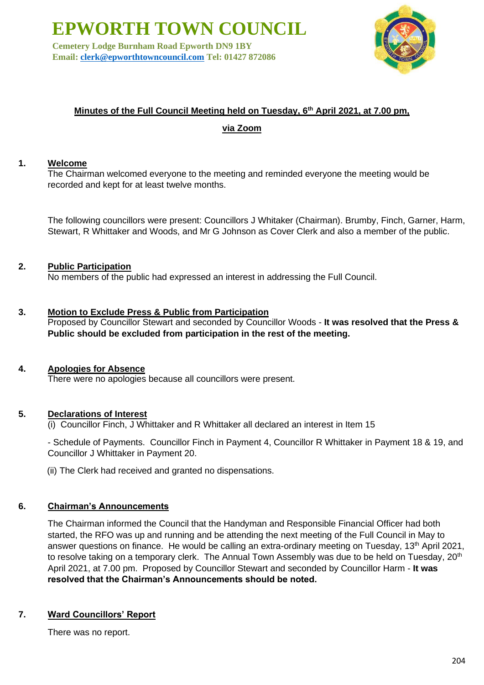**Cemetery Lodge Burnham Road Epworth DN9 1BY Email: [clerk@epworthtowncouncil.com](mailto:clerk@epworthtowncouncil.com) Tel: 01427 872086**



# **Minutes of the Full Council Meeting held on Tuesday, 6th April 2021, at 7.00 pm,**

**via Zoom**

# **1. Welcome**

The Chairman welcomed everyone to the meeting and reminded everyone the meeting would be recorded and kept for at least twelve months.

The following councillors were present: Councillors J Whitaker (Chairman). Brumby, Finch, Garner, Harm, Stewart, R Whittaker and Woods, and Mr G Johnson as Cover Clerk and also a member of the public.

# **2. Public Participation**

No members of the public had expressed an interest in addressing the Full Council.

#### **3. Motion to Exclude Press & Public from Participation**

Proposed by Councillor Stewart and seconded by Councillor Woods - **It was resolved that the Press & Public should be excluded from participation in the rest of the meeting.**

#### **4. Apologies for Absence**

There were no apologies because all councillors were present.

#### **5. Declarations of Interest**

(i) Councillor Finch, J Whittaker and R Whittaker all declared an interest in Item 15

- Schedule of Payments. Councillor Finch in Payment 4, Councillor R Whittaker in Payment 18 & 19, and Councillor J Whittaker in Payment 20.

(ii) The Clerk had received and granted no dispensations.

#### **6. Chairman's Announcements**

The Chairman informed the Council that the Handyman and Responsible Financial Officer had both started, the RFO was up and running and be attending the next meeting of the Full Council in May to answer questions on finance. He would be calling an extra-ordinary meeting on Tuesday, 13<sup>th</sup> April 2021, to resolve taking on a temporary clerk. The Annual Town Assembly was due to be held on Tuesday, 20<sup>th</sup> April 2021, at 7.00 pm. Proposed by Councillor Stewart and seconded by Councillor Harm - **It was resolved that the Chairman's Announcements should be noted.**

# **7. Ward Councillors' Report**

There was no report.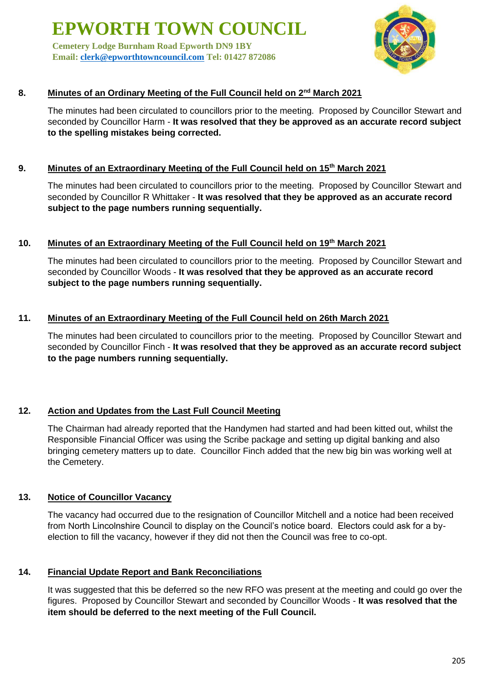**Cemetery Lodge Burnham Road Epworth DN9 1BY Email: [clerk@epworthtowncouncil.com](mailto:clerk@epworthtowncouncil.com) Tel: 01427 872086**



# **8. Minutes of an Ordinary Meeting of the Full Council held on 2nd March 2021**

The minutes had been circulated to councillors prior to the meeting. Proposed by Councillor Stewart and seconded by Councillor Harm - **It was resolved that they be approved as an accurate record subject to the spelling mistakes being corrected.**

# **9. Minutes of an Extraordinary Meeting of the Full Council held on 15th March 2021**

The minutes had been circulated to councillors prior to the meeting. Proposed by Councillor Stewart and seconded by Councillor R Whittaker - **It was resolved that they be approved as an accurate record subject to the page numbers running sequentially.**

#### **10. Minutes of an Extraordinary Meeting of the Full Council held on 19th March 2021**

The minutes had been circulated to councillors prior to the meeting. Proposed by Councillor Stewart and seconded by Councillor Woods - **It was resolved that they be approved as an accurate record subject to the page numbers running sequentially.**

#### **11. Minutes of an Extraordinary Meeting of the Full Council held on 26th March 2021**

The minutes had been circulated to councillors prior to the meeting. Proposed by Councillor Stewart and seconded by Councillor Finch - **It was resolved that they be approved as an accurate record subject to the page numbers running sequentially.**

#### **12. Action and Updates from the Last Full Council Meeting**

The Chairman had already reported that the Handymen had started and had been kitted out, whilst the Responsible Financial Officer was using the Scribe package and setting up digital banking and also bringing cemetery matters up to date. Councillor Finch added that the new big bin was working well at the Cemetery.

# **13. Notice of Councillor Vacancy**

The vacancy had occurred due to the resignation of Councillor Mitchell and a notice had been received from North Lincolnshire Council to display on the Council's notice board. Electors could ask for a byelection to fill the vacancy, however if they did not then the Council was free to co-opt.

# **14. Financial Update Report and Bank Reconciliations**

It was suggested that this be deferred so the new RFO was present at the meeting and could go over the figures. Proposed by Councillor Stewart and seconded by Councillor Woods - **It was resolved that the item should be deferred to the next meeting of the Full Council.**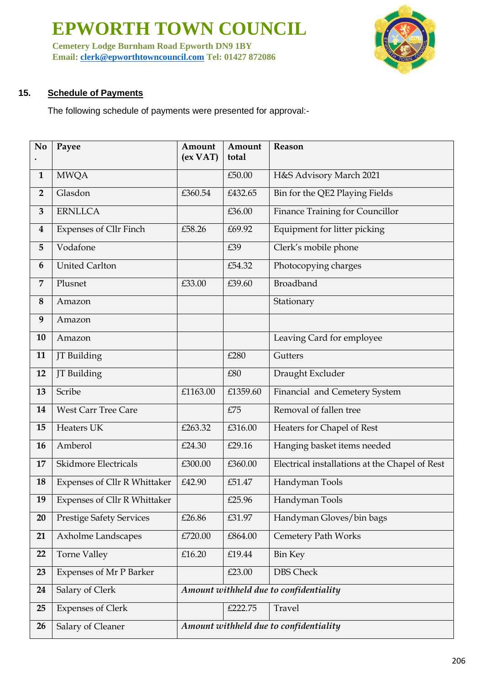**Cemetery Lodge Burnham Road Epworth DN9 1BY Email: [clerk@epworthtowncouncil.com](mailto:clerk@epworthtowncouncil.com) Tel: 01427 872086**



# **15. Schedule of Payments**

The following schedule of payments were presented for approval:-

| No                      | Payee                           | Amount<br>(ex <b>VAT</b> )             | Amount<br>total | Reason                                         |
|-------------------------|---------------------------------|----------------------------------------|-----------------|------------------------------------------------|
| $\mathbf{1}$            | <b>MWQA</b>                     |                                        | £50.00          | H&S Advisory March 2021                        |
| $\overline{2}$          | Glasdon                         | £360.54                                | £432.65         | Bin for the QE2 Playing Fields                 |
| 3                       | <b>ERNLLCA</b>                  |                                        | £36.00          | Finance Training for Councillor                |
| $\overline{\mathbf{4}}$ | <b>Expenses of Cllr Finch</b>   | £58.26                                 | £69.92          | Equipment for litter picking                   |
| 5                       | Vodafone                        |                                        | £39             | Clerk's mobile phone                           |
| 6                       | <b>United Carlton</b>           |                                        | £54.32          | Photocopying charges                           |
| 7                       | Plusnet                         | £33.00                                 | £39.60          | Broadband                                      |
| 8                       | Amazon                          |                                        |                 | Stationary                                     |
| 9                       | Amazon                          |                                        |                 |                                                |
| 10                      | Amazon                          |                                        |                 | Leaving Card for employee                      |
| 11                      | JT Building                     |                                        | £280            | Gutters                                        |
| 12                      | JT Building                     |                                        | £80             | Draught Excluder                               |
| 13                      | Scribe                          | £1163.00                               | £1359.60        | Financial and Cemetery System                  |
| 14                      | <b>West Carr Tree Care</b>      |                                        | £75             | Removal of fallen tree                         |
| 15                      | Heaters UK                      | £263.32                                | £316.00         | Heaters for Chapel of Rest                     |
| 16                      | Amberol                         | £24.30                                 | £29.16          | Hanging basket items needed                    |
| 17                      | Skidmore Electricals            | £300.00                                | £360.00         | Electrical installations at the Chapel of Rest |
| 18                      | Expenses of Cllr R Whittaker    | £42.90                                 | £51.47          | Handyman Tools                                 |
| 19                      | Expenses of Cllr R Whittaker    |                                        | £25.96          | Handyman Tools                                 |
| 20                      | <b>Prestige Safety Services</b> | £26.86                                 | £31.97          | Handyman Gloves/bin bags                       |
| 21                      | Axholme Landscapes              | £720.00                                | £864.00         | <b>Cemetery Path Works</b>                     |
| 22                      | Torne Valley                    | £16.20                                 | £19.44          | <b>Bin Key</b>                                 |
| 23                      | Expenses of Mr P Barker         |                                        | £23.00          | <b>DBS Check</b>                               |
| 24                      | Salary of Clerk                 | Amount withheld due to confidentiality |                 |                                                |
| 25                      | <b>Expenses of Clerk</b>        |                                        | £222.75         | Travel                                         |
| 26                      | Salary of Cleaner               | Amount withheld due to confidentiality |                 |                                                |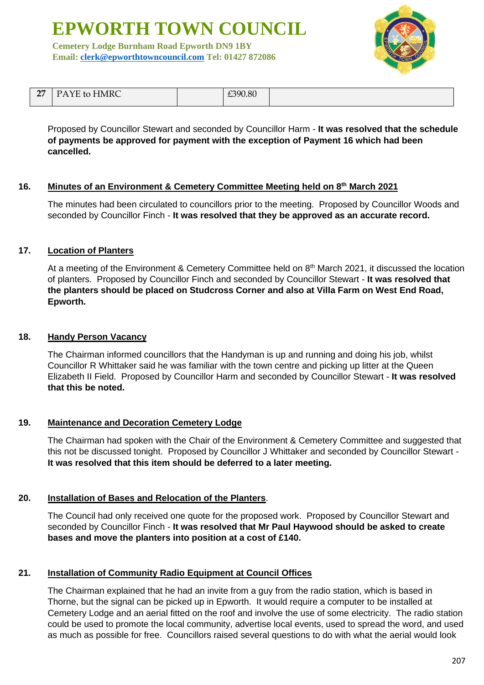**Cemetery Lodge Burnham Road Epworth DN9 1BY Email: [clerk@epworthtowncouncil.com](mailto:clerk@epworthtowncouncil.com) Tel: 01427 872086**



| $\sim$<br>$\epsilon$ | PAYE to HMRC | 0.00000<br>LIYU.OU |  |
|----------------------|--------------|--------------------|--|

Proposed by Councillor Stewart and seconded by Councillor Harm - **It was resolved that the schedule of payments be approved for payment with the exception of Payment 16 which had been cancelled.**

#### **16. Minutes of an Environment & Cemetery Committee Meeting held on 8th March 2021**

The minutes had been circulated to councillors prior to the meeting. Proposed by Councillor Woods and seconded by Councillor Finch - **It was resolved that they be approved as an accurate record.**

#### **17. Location of Planters**

At a meeting of the Environment & Cemetery Committee held on 8<sup>th</sup> March 2021, it discussed the location of planters. Proposed by Councillor Finch and seconded by Councillor Stewart - **It was resolved that the planters should be placed on Studcross Corner and also at Villa Farm on West End Road, Epworth.**

#### **18. Handy Person Vacancy**

The Chairman informed councillors that the Handyman is up and running and doing his job, whilst Councillor R Whittaker said he was familiar with the town centre and picking up litter at the Queen Elizabeth II Field. Proposed by Councillor Harm and seconded by Councillor Stewart - **It was resolved that this be noted.**

#### **19. Maintenance and Decoration Cemetery Lodge**

The Chairman had spoken with the Chair of the Environment & Cemetery Committee and suggested that this not be discussed tonight. Proposed by Councillor J Whittaker and seconded by Councillor Stewart - **It was resolved that this item should be deferred to a later meeting.**

#### **20. Installation of Bases and Relocation of the Planters**.

The Council had only received one quote for the proposed work. Proposed by Councillor Stewart and seconded by Councillor Finch - **It was resolved that Mr Paul Haywood should be asked to create bases and move the planters into position at a cost of £140.**

#### **21. Installation of Community Radio Equipment at Council Offices**

The Chairman explained that he had an invite from a guy from the radio station, which is based in Thorne, but the signal can be picked up in Epworth. It would require a computer to be installed at Cemetery Lodge and an aerial fitted on the roof and involve the use of some electricity. The radio station could be used to promote the local community, advertise local events, used to spread the word, and used as much as possible for free. Councillors raised several questions to do with what the aerial would look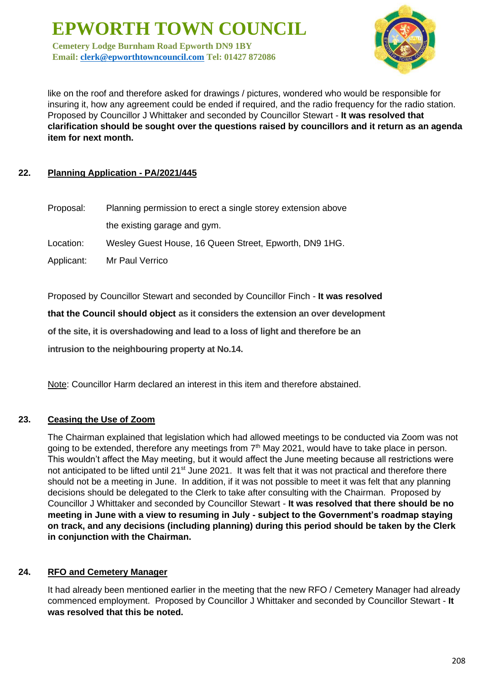**Cemetery Lodge Burnham Road Epworth DN9 1BY Email: [clerk@epworthtowncouncil.com](mailto:clerk@epworthtowncouncil.com) Tel: 01427 872086**



like on the roof and therefore asked for drawings / pictures, wondered who would be responsible for insuring it, how any agreement could be ended if required, and the radio frequency for the radio station. Proposed by Councillor J Whittaker and seconded by Councillor Stewart - **It was resolved that clarification should be sought over the questions raised by councillors and it return as an agenda item for next month.**

# **22. Planning Application - PA/2021/445**

| Planning permission to erect a single storey extension above |  |  |  |  |
|--------------------------------------------------------------|--|--|--|--|
| the existing garage and gym.                                 |  |  |  |  |
| Wesley Guest House, 16 Queen Street, Epworth, DN9 1HG.       |  |  |  |  |
| Mr Paul Verrico                                              |  |  |  |  |
|                                                              |  |  |  |  |

Proposed by Councillor Stewart and seconded by Councillor Finch - **It was resolved** 

**that the Council should object as it considers the extension an over development** 

**of the site, it is overshadowing and lead to a loss of light and therefore be an** 

**intrusion to the neighbouring property at No.14.** 

Note: Councillor Harm declared an interest in this item and therefore abstained.

#### **23. Ceasing the Use of Zoom**

The Chairman explained that legislation which had allowed meetings to be conducted via Zoom was not going to be extended, therefore any meetings from 7<sup>th</sup> May 2021, would have to take place in person. This wouldn't affect the May meeting, but it would affect the June meeting because all restrictions were not anticipated to be lifted until 21<sup>st</sup> June 2021. It was felt that it was not practical and therefore there should not be a meeting in June. In addition, if it was not possible to meet it was felt that any planning decisions should be delegated to the Clerk to take after consulting with the Chairman. Proposed by Councillor J Whittaker and seconded by Councillor Stewart - **It was resolved that there should be no meeting in June with a view to resuming in July - subject to the Government's roadmap staying on track, and any decisions (including planning) during this period should be taken by the Clerk in conjunction with the Chairman.**

#### **24. RFO and Cemetery Manager**

It had already been mentioned earlier in the meeting that the new RFO / Cemetery Manager had already commenced employment. Proposed by Councillor J Whittaker and seconded by Councillor Stewart - **It was resolved that this be noted.**